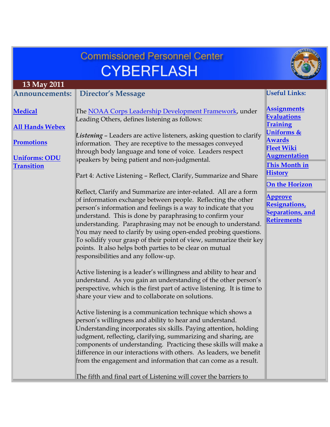|                                                                                                            | <b>Commissioned Personnel Center</b>                                                                                                                                                                                                                                                                                                                                                                                                                                                                                                                                                                                                                                                                                                                                                                                                                                                                                                                                                                                                                                                                                                                                                                                                                                                                                                                                                                                                                                                                                                                                                                                                                                                                                                                          |                                                                                                                                                                                                                                                                                               |
|------------------------------------------------------------------------------------------------------------|---------------------------------------------------------------------------------------------------------------------------------------------------------------------------------------------------------------------------------------------------------------------------------------------------------------------------------------------------------------------------------------------------------------------------------------------------------------------------------------------------------------------------------------------------------------------------------------------------------------------------------------------------------------------------------------------------------------------------------------------------------------------------------------------------------------------------------------------------------------------------------------------------------------------------------------------------------------------------------------------------------------------------------------------------------------------------------------------------------------------------------------------------------------------------------------------------------------------------------------------------------------------------------------------------------------------------------------------------------------------------------------------------------------------------------------------------------------------------------------------------------------------------------------------------------------------------------------------------------------------------------------------------------------------------------------------------------------------------------------------------------------|-----------------------------------------------------------------------------------------------------------------------------------------------------------------------------------------------------------------------------------------------------------------------------------------------|
|                                                                                                            | <b>CYBERFLASH</b>                                                                                                                                                                                                                                                                                                                                                                                                                                                                                                                                                                                                                                                                                                                                                                                                                                                                                                                                                                                                                                                                                                                                                                                                                                                                                                                                                                                                                                                                                                                                                                                                                                                                                                                                             |                                                                                                                                                                                                                                                                                               |
| 13 May 2011                                                                                                |                                                                                                                                                                                                                                                                                                                                                                                                                                                                                                                                                                                                                                                                                                                                                                                                                                                                                                                                                                                                                                                                                                                                                                                                                                                                                                                                                                                                                                                                                                                                                                                                                                                                                                                                                               |                                                                                                                                                                                                                                                                                               |
| <b>Announcements:</b>                                                                                      | <b>Director's Message</b>                                                                                                                                                                                                                                                                                                                                                                                                                                                                                                                                                                                                                                                                                                                                                                                                                                                                                                                                                                                                                                                                                                                                                                                                                                                                                                                                                                                                                                                                                                                                                                                                                                                                                                                                     | <b>Useful Links:</b>                                                                                                                                                                                                                                                                          |
| <b>Medical</b><br><b>All Hands Webex</b><br><b>Promotions</b><br><b>Uniforms: ODU</b><br><b>Transition</b> | The NOAA Corps Leadership Development Framework, under<br>Leading Others, defines listening as follows:<br>Listening - Leaders are active listeners, asking question to clarify<br>information. They are receptive to the messages conveyed<br>through body language and tone of voice. Leaders respect<br>speakers by being patient and non-judgmental.<br>Part 4: Active Listening - Reflect, Clarify, Summarize and Share<br>Reflect, Clarify and Summarize are inter-related. All are a form<br>of information exchange between people. Reflecting the other<br>person's information and feelings is a way to indicate that you<br>understand. This is done by paraphrasing to confirm your<br>understanding. Paraphrasing may not be enough to understand.<br>You may need to clarify by using open-ended probing questions.<br>To solidify your grasp of their point of view, summarize their key<br>points. It also helps both parties to be clear on mutual<br>responsibilities and any follow-up.<br>Active listening is a leader's willingness and ability to hear and<br>understand. As you gain an understanding of the other person's<br>perspective, which is the first part of active listening. It is time to<br>share your view and to collaborate on solutions.<br>Active listening is a communication technique which shows a<br>person's willingness and ability to hear and understand.<br>Understanding incorporates six skills. Paying attention, holding<br>udgment, reflecting, clarifying, summarizing and sharing, are<br>components of understanding. Practicing these skills will make a<br>difference in our interactions with others. As leaders, we benefit<br>from the engagement and information that can come as a result. | <b>Assignments</b><br><b>Evaluations</b><br><b>Training</b><br>Uniforms &<br><b>Awards</b><br><b>Fleet Wiki</b><br><b>Augmentation</b><br>This Month in<br><b>History</b><br><b>On the Horizon</b><br><b>Approve</b><br><b>Resignations</b><br><b>Separations</b> , and<br><b>Retirements</b> |
|                                                                                                            | The fifth and final part of Listening will cover the barriers to                                                                                                                                                                                                                                                                                                                                                                                                                                                                                                                                                                                                                                                                                                                                                                                                                                                                                                                                                                                                                                                                                                                                                                                                                                                                                                                                                                                                                                                                                                                                                                                                                                                                                              |                                                                                                                                                                                                                                                                                               |
|                                                                                                            |                                                                                                                                                                                                                                                                                                                                                                                                                                                                                                                                                                                                                                                                                                                                                                                                                                                                                                                                                                                                                                                                                                                                                                                                                                                                                                                                                                                                                                                                                                                                                                                                                                                                                                                                                               |                                                                                                                                                                                                                                                                                               |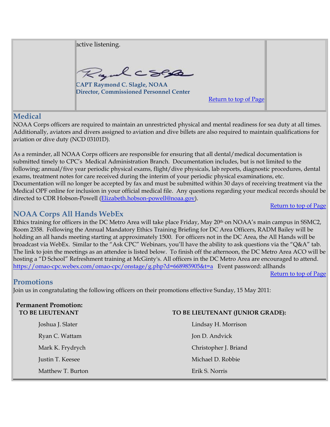active listening. Rydcses **CAPT Raymond C. Slagle, NOAA Director, Commissioned Personnel Center**  Return to top of Page

### **Medical**

NOAA Corps officers are required to maintain an unrestricted physical and mental readiness for sea duty at all times. Additionally, aviators and divers assigned to aviation and dive billets are also required to maintain qualifications for aviation or dive duty (NCD 03101D).

As a reminder, all NOAA Corps officers are responsible for ensuring that all dental/medical documentation is submitted timely to CPC's Medical Administration Branch. Documentation includes, but is not limited to the following; annual/five year periodic physical exams, flight/dive physicals, lab reports, diagnostic procedures, dental exams, treatment notes for care received during the interim of your periodic physical examinations, etc. Documentation will no longer be accepted by fax and must be submitted within 30 days of receiving treatment via the Medical OPF online for inclusion in your official medical file. Any questions regarding your medical records should be directed to CDR Hobson-Powell (Elizabeth.hobson-powell@noaa.gov).

#### Return to top of Page

## **NOAA Corps All Hands WebEx**

Ethics training for officers in the DC Metro Area will take place Friday, May 20<sup>th</sup> on NOAA's main campus in SSMC2, Room 2358. Following the Annual Mandatory Ethics Training Briefing for DC Area Officers, RADM Bailey will be holding an all hands meeting starting at approximately 1500. For officers not in the DC Area, the All Hands will be broadcast via WebEx. Similar to the "Ask CPC" Webinars, you'll have the ability to ask questions via the "Q&A" tab. The link to join the meetings as an attendee is listed below. To finish off the afternoon, the DC Metro Area ACO will be hosting a "D School" Refreshment training at McGinty's. All officers in the DC Metro Area are encouraged to attend. https://omao-cpc.webex.com/omao-cpc/onstage/g.php?d=668985905&t=a Event password: allhands

#### Return to top of Page

## **Promotions**

Join us in congratulating the following officers on their promotions effective Sunday, 15 May 2011:

| <b>Permanent Promotion:</b><br>TO BE LIEUTENANT | TO BE LIEUTENANT (JUNIOR GRADE): |  |
|-------------------------------------------------|----------------------------------|--|
| Joshua J. Slater                                | Lindsay H. Morrison              |  |
| Ryan C. Wattam                                  | Jon D. Andvick                   |  |
| Mark K. Frydrych                                | Christopher J. Briand            |  |
| Justin T. Keesee                                | Michael D. Robbie                |  |
| Matthew T. Burton                               | Erik S. Norris                   |  |
|                                                 |                                  |  |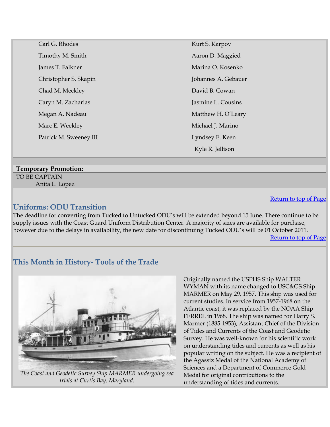| Carl G. Rhodes         | Kurt S. Karpov      |
|------------------------|---------------------|
| Timothy M. Smith       | Aaron D. Maggied    |
| James T. Falkner       | Marina O. Kosenko   |
| Christopher S. Skapin  | Johannes A. Gebauer |
| Chad M. Meckley        | David B. Cowan      |
| Caryn M. Zacharias     | Jasmine L. Cousins  |
| Megan A. Nadeau        | Matthew H. O'Leary  |
| Marc E. Weekley        | Michael J. Marino   |
| Patrick M. Sweeney III | Lyndsey E. Keen     |
|                        | Kyle R. Jellison    |
|                        |                     |

### **Temporary Promotion:**

TO BE CAPTAIN Anita L. Lopez

### **Uniforms: ODU Transition**

The deadline for converting from Tucked to Untucked ODU's will be extended beyond 15 June. There continue to be supply issues with the Coast Guard Uniform Distribution Center. A majority of sizes are available for purchase, however due to the delays in availability, the new date for discontinuing Tucked ODU's will be 01 October 2011. Return to top of Page

# **This Month in History- Tools of the Trade**



*The Coast and Geodetic Survey Ship MARMER undergoing sea trials at Curtis Bay, Maryland.*

Originally named the USPHS Ship WALTER WYMAN with its name changed to USC&GS Ship MARMER on May 29, 1957. This ship was used for current studies. In service from 1957-1968 on the Atlantic coast, it was replaced by the NOAA Ship FERREL in 1968. The ship was named for Harry S. Marmer (1885-1953), Assistant Chief of the Division of Tides and Currents of the Coast and Geodetic Survey. He was well-known for his scientific work on understanding tides and currents as well as his popular writing on the subject. He was a recipient of the Agassiz Medal of the National Academy of Sciences and a Department of Commerce Gold Medal for original contributions to the understanding of tides and currents.

Return to top of Page